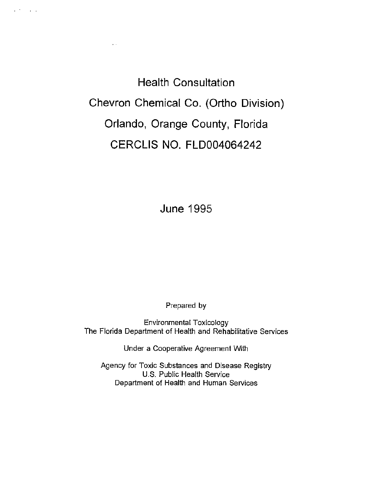Health Consultation Chevron Chemical Co. (Ortho Division) Orlando, Orange County, Florida CERCLIS NO. FLD004064242

 $\mathbf{r}$  .

 $\mathbf{r}$  .  $\mathbf{r}$  and  $\mathbf{r}$ 

June 1995

Prepared by

Environmental Toxicology The Florida Department of Health and Rehabilitative Services

Under a Cooperative Agreement With

Agency for Toxic Substances and Disease Registry U.S. Public Health Service Department of Health and Human Services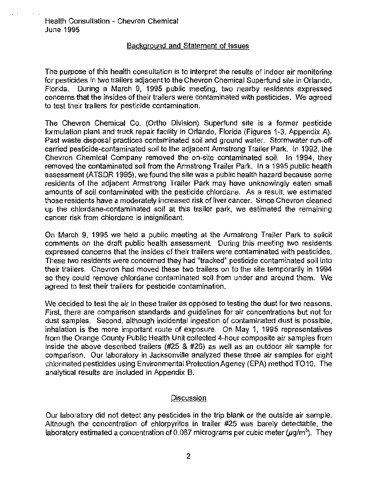$\mathcal{C} = \{ \mathcal{C}_i \}_{i=1}^n$ 

# Background and Statement of Issues

The purpose of this health consultation is to interpret the results of indoor air monitoring for pesticides in two trailers adjacent to the Chevron Chemical Superfund site in Orlando, Florida. During a March 9, 1995 public meeting, two nearby residents expressed concerns that the insides of their trailers were contaminated with pesticides. We agreed to test their trailers for pesticide contamination.

The Chevron Chemical Co. (Ortho Division) Superfund site is a former pesticide formulation plant and truck repair facility in Orlando, Florida (Figures 1-3, Appendix A). Past waste disposal practices contaminated soil and ground water. Stormwater run-off carried pesticide-contaminated soil to the adjacent Armstrong Trailer Park. In 1992, the Chevron Chemical Company removed the on-site contaminated soil. In 1994, they removed the contaminated soil from the Armstrong Trailer Park. In a 1995 public health assessment (ATSDR 1995), we found the site was a public health hazard because some residents of the adjacent Armstrong Trailer Park may have unknowingly eaten small amounts of soil contaminated with the pesticide chlordane. As a result, we estimated those residents have a moderately increased risk of liver cancer. Since Chevron cleaned up the chlordane-contaminated soil at this trailer park, we estimated the remaining cancer risk from chlordane is insignificant.

On March 9, 1995 we held a public meeting at the Armstrong Trailer Park to solicit comments on the draft public health assessment. During this meeting two residents expressed concerns that the insides of their trailers were contaminated with pesticides. These two residents were concerned they had "tracked" pesticide contaminated soil into their trailers. Chevron had moved these two trailers on to the site temporarily in 1994 so they could remove chlordane contaminated soil from under and around them. We agreed to test their trailers for pesticide contamination.

We decided to test the air in these trailer as opposed to testing the dust for two reasons. First, there are comparison standards and guidelines for air concentrations but not for dust samples. Second, although incidental ingestion of contaminated dust is possible, inhalation is the more important route of exposure. On May 1, 1995 representatives from the Orange County Public Health Unit collected 4-hour composite air samples from inside the above described trailers (#25 & #26) as well as an outdoor air sample for comparison. Our laboratory in Jacksonville analyzed these three air samples for eight chlorinated pesticides using Environmental Protection Agency (EPA) method TO10. The analytical results are included in Appendix B.

# Discussion

Our laboratory did not detect any pesticides in the trip blank or the outside air sample. Although the concentration of chlorpyrifos in trailer #25 was barely detectable, the laboratory estimated a concentration of 0.067 micrograms per cubic meter  $(\mu g/m^3)$ . They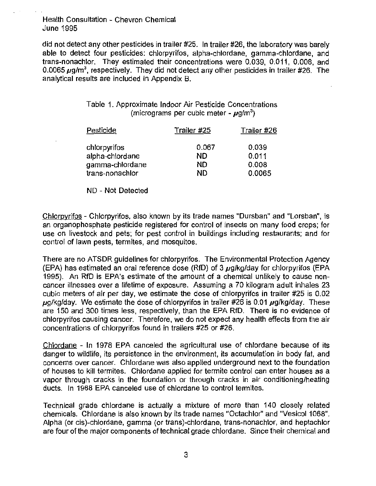Health Consultation- Chevron Chemical June 1995

did not detect any other pesticides in trailer #25. In trailer #26, the laboratory was barely able to detect four pesticides: chlorpyrifos, alpha-chlordane, gamma-chlordane, and trans-nonachlor. They estimated their concentrations were 0.039, 0.011 , 0.008, and 0.0065  $\mu$ g/m $^3$ , respectively. They did not detect any other pesticides in trailer #26. The analytical results are included in Appendix B.

| Table 1. Approximate Indoor Air Pesticide Concentrations |
|----------------------------------------------------------|
| (micrograms per cubic meter - $\mu$ g/m <sup>3</sup> )   |

| <b>Pesticide</b> | Trailer #25 | Trailer #26 |
|------------------|-------------|-------------|
| chlorpyrifos     | 0.067       | 0.039       |
| alpha-chlordane  | ND          | 0.011       |
| gamma-chlordane  | ND          | 0.008       |
| trans-nonachlor  | ND          | 0.0065      |

NO- Not Detected

Chlorpyrifos- Chlorpyrifos, also known by its trade names "Dursban" and "Lorsban", is an organophosphate pesticide registered for control of insects on many food crops; for use on livestock and pets; for pest control in buildings including restaurants; and for control of lawn pests, termites, and mosquitos.

There are no ATSDR guidelines for chlorpyrifos. The Environmental Protection Agency (EPA) has estimated an oral reference dose (RfD) of 3  $\mu$ g/kg/day for chlorpyrifos (EPA 1995). An RfD is EPA's estimate of the amount of a chemical unlikely to cause noncancer illnesses over a lifetime of exposure. Assuming a 70 kilogram adult inhales 23 cubic meters of air per day, we estimate the dose of chlorpyrifos in trailer #25 is 0.02  $\mu$ g/kg/day. We estimate the dose of chlorpyrifos in trailer #26 is 0.01  $\mu$ g/kg/day. These are 150 and 300 times less, respectively, than the EPA RfD. There is no evidence of chlorpyrifos causing cancer. Therefore, we do not expect any health effects from the air concentrations of chlorpyrifos found in trailers #25 or #26.

Chlordane - In 1978 EPA canceled the agricultural use of chlordane because of its danger to wildlife, its persistence in the environment, its accumulation in body fat, and concerns over cancer. Chlordane was also applied underground next to the foundation of houses to kill termites. Chlordane applied for termite control can enter houses as a vapor through cracks in the foundation or through cracks in air conditioning/heating ducts. In 1988 EPA canceled use of chlordane to control termites.

Technical grade chlordane is actually a mixture of more than 140 closely related chemicals. Chlordane is also known by its trade names "Octachlor" and "Vesicol 1068". Alpha (or cis)-chlordane, gamma (or trans)-chlordane, trans-nonachlor, and heptachlor are four of the major components of technical grade chlordane. Since their chemical and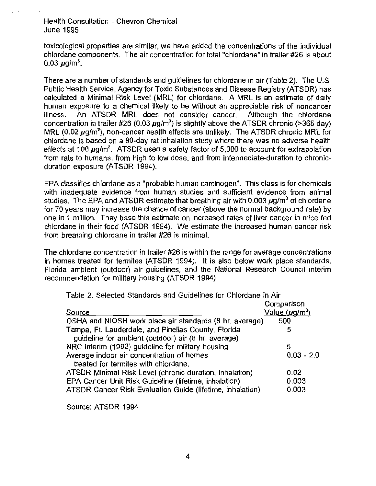Health Consultation - Chevron Chemical June 1995

toxicological properties are similar, we have added the concentrations of the individual chlordane components. The air concentration for total "chlordane" in trailer #26 is about 0.03  $\mu$ g/m $^3$ .

There are a number of standards and guidelines for chlordane in air (Table 2). The U.S. Public Health Service, Agency for Toxic Substances and Disease Registry (ATSDR) has calculated a Minimal Risk Level (MRL) for chlordane. A MRL is an estimate of daily human exposure to a chemical likely to be without an appreciable risk of noncancer<br>illness. An ATSDR MRL does not consider cancer. Although the chlordane illness. An ATSDR MRL does not consider cancer. concentration in trailer #26 (0.03  $\mu$ g/m<sup>3</sup>) is slightly above the ATSDR chronic (>365 day) MRL (0.02  $\mu$ g/m<sup>3</sup>), non-cancer health effects are unlikely. The ATSDR chronic MRL for chlordane is based on a 90-day rat inhalation study where there was no adverse health effects at 100  $\mu$ g/m $^3$ . ATSDR used a safety factor of 5,000 to account for extrapolation from rats to humans, from high to low dose, and from intermediate-duration to chronicduration exposure (ATSDR 1994).

EPA classifies chlordane as a "probable human carcinogen". This class is for chemicals with inadequate evidence from human studies and sufficient evidence from animal studies. The EPA and ATSDR estimate that breathing air with 0.003  $\mu$ g/m<sup>3</sup> of chlordane for 70 years may increase the chance of cancer (above the normal background rate) by one in 1 million. They base this estimate on increased rates of liver cancer in mice fed chlordane in their food (ATSDR 1994). We estimate the increased human cancer risk from breathing chlordane in trailer #26 is minimal.

The chlordane concentration in trailer #26 is within the range for average concentrations in homes treated for termites (ATSDR 1994). It is also below work place standards, Florida ambient (outdoor) air guidelines, and the National Research Council interim recommendation for military housing (ATSDR 1994).

| Table 2. Selected Standards and Guidelines for Chlordane in Air |                     |
|-----------------------------------------------------------------|---------------------|
|                                                                 | Comparison          |
| Source                                                          | Value $(\mu q/m^3)$ |
| OSHA and NIOSH work place air standards (8 hr. average)         | 500                 |
| Tampa, Ft. Lauderdale, and Pinellas County, Florida             | 5                   |
| guideline for ambient (outdoor) air (8 hr. average)             |                     |
| NRC interim (1992) guideline for military housing               | 5                   |
| Average indoor air concentration of homes                       | $0.03 - 2.0$        |
| treated for termites with chlordane.                            |                     |
| ATSDR Minimal Risk Level (chronic duration, inhalation)         | 0.02                |
| EPA Cancer Unit Risk Guideline (lifetime, inhalation)           | 0.003               |
| ATSDR Cancer Risk Evaluation Guide (lifetime, inhalation)       | 0.003               |
|                                                                 |                     |

Source: ATSDR 1994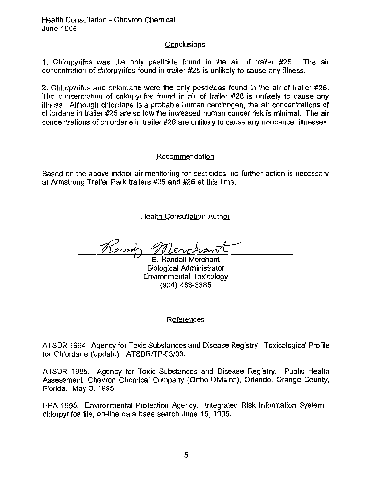Health Consultation - Chevron Chemical June 1995

## **Conclusions**

1. Chlorpyrifos was the only pesticide found in the air of trailer #25. The air concentration of chlorpyrifos found in trailer #25 is unlikely to cause any illness.

2. Chlorpyrifos and chlordane were the only pesticides found in the air of trailer #26. The concentration of chlorpyrifos found in air of trailer #26 is unlikely to cause any illness. Although chlordane is a probable human carcinogen, the air concentrations of chlordane in trailer #26 are so low the increased human cancer risk is minimal. The air concentrations of chlordane in trailer #26 are unlikely to cause any noncancer illnesses.

### Recommendation

Based on the above indoor air monitoring for pesticides, no further action is necessary at Armstrong Trailer Park trailers #25 and #26 at this time.

Health Consultation Author

Ramy

E. Randall Merchant Biological Administrator Environmental Toxicology (904) 488-3385

## References

ATSDR 1994. Agency for Toxic Substances and Disease Registry. Toxicological Profile for Chlordane (Update). ATSDR/TP-93/03.

ATSDR 1995. Agency for Toxic Substances and Disease Registry. Public Health Assessment, Chevron Chemical Company (Ortho Division), Orlando, Orange County, Florida. May 3, 1995

EPA 1995. Environmental Protection Agency. Integrated Risk Information System chlorpyrifos file, on-line data base search June 15, 1995.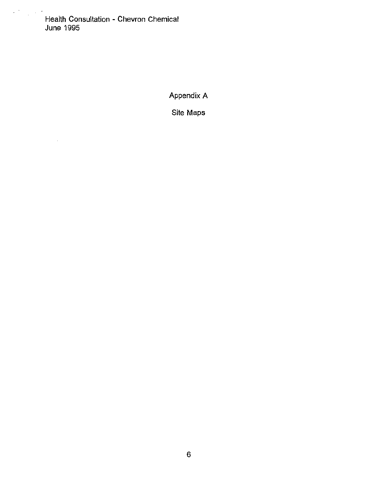$\mathcal{O}(\frac{1}{\sqrt{2}})$  ,  $\mathcal{O}(\frac{1}{\sqrt{2}})$ Health Consultation - Chevron Chemical June 1995

Appendix A

Site Maps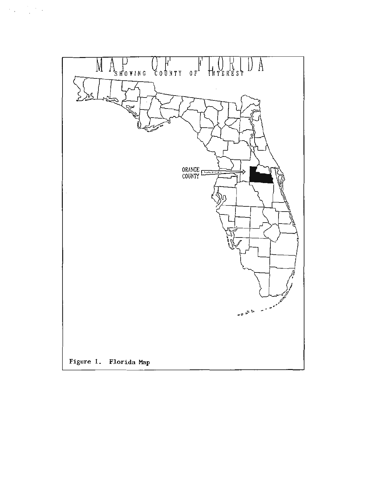

 $\mathcal{A}_{\mathcal{A}}=\frac{1}{2}\mathcal{A}_{\mathcal{A}}$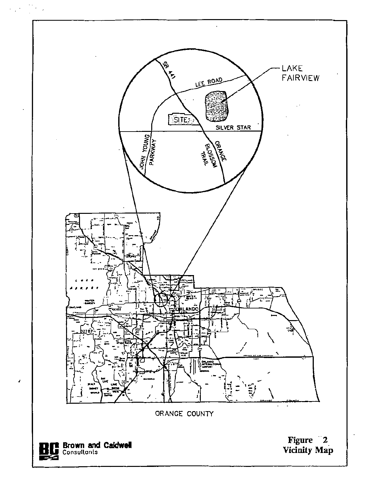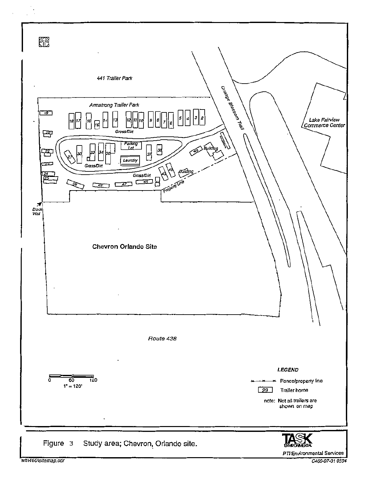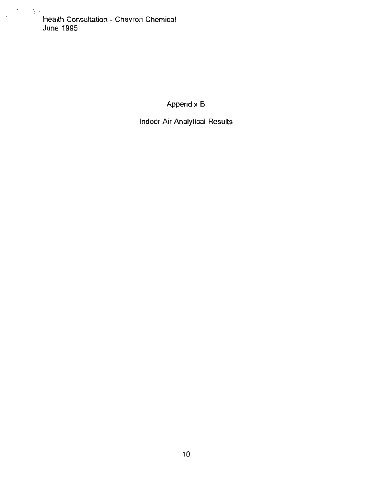Health Consultation - Chevron Chemical June 1995

J <sup>1</sup> ' I t

Appendix 8

Indoor Air Analytical Results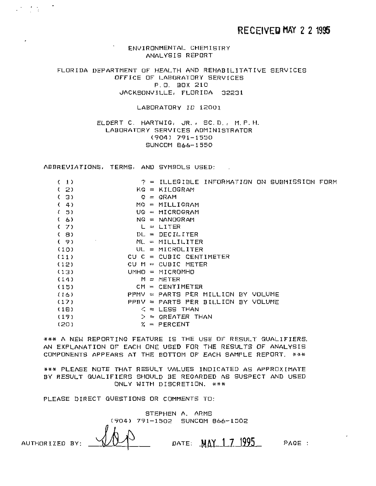ENVIRONMENTAL CHEMISTRY ANALYSIS REPORT

FLORIDA DEPARTMENT OF HEALTH AND REHABILITATIVE SERVICES OFFICE OF LABORATORY SERVICES P. 0. BOX 210 JACKSONVILLE, FLORIDA 32231

LABORATORY ID 12001

ELDERT C. HARTWIG, JR., SC.D., M.P.H. LABORATORY SERVICES ADMINISTRATOR (904) 791-1550 SUNCOM 866-1550

ABBREVIATIONS, TERMS, AND SYMBOLS USED:

 $\mathcal{L} = \frac{1}{2} \sum_{i=1}^{n} \frac{1}{i} \sum_{j=1}^{n} \frac{1}{j} \sum_{j=1}^{n} \frac{1}{j} \sum_{j=1}^{n} \frac{1}{j} \sum_{j=1}^{n} \frac{1}{j} \sum_{j=1}^{n} \frac{1}{j} \sum_{j=1}^{n} \frac{1}{j} \sum_{j=1}^{n} \frac{1}{j} \sum_{j=1}^{n} \frac{1}{j} \sum_{j=1}^{n} \frac{1}{j} \sum_{j=1}^{n} \frac{1}{j} \sum_{j=1}^{n} \frac{1}{j} \sum$ 

| (1)  |    | $P = 1$ LLEGIBLE INFORMATION ON SUBMISSION FORM |  |
|------|----|-------------------------------------------------|--|
| (2)  |    | $KG = KILOGRAM$                                 |  |
| (3)  | G. | $=$ GRAM                                        |  |
| (4)  |    | $MG = MILLIGRAM$                                |  |
| (5)  |    | $UG = MICROGRAM$                                |  |
| (6)  |    | $NG = NANDGRAM$                                 |  |
| (7)  |    | $L = LITER$                                     |  |
| ( 8) |    | $DL = DECILITER$                                |  |
| (9)  | ٠  | $ML = MILLIITER$                                |  |
| (10) |    | $UL = MICROLITER$                               |  |
| (11) |    | $CU C = CUBIC CENTIMETER$                       |  |
| (12) |    | CU $M = CUBIC METER$                            |  |
| (13) |    | $UMHD = MICROMHO$                               |  |
| (14) |    | $M = METER$                                     |  |
| (15) |    | $CM = CENTIMETER$                               |  |
| (16) |    | $PPMV \approx PARTS PER MILLION BY VOLUME$      |  |
| (17) |    | PPBV = PARTS PER BILLION BY VOLUME              |  |
| (18) |    | $\leq$ = LESS THAN                              |  |
| (19) |    | $>$ = GREATER THAN                              |  |
| (20) |    | $X = PERCENT$                                   |  |

\*\*\* A NEW REPORTING FEATURE IS THE USE OF RESULT QUALIFIERS. AN EXPLANATION OF EACH ONE USED FOR THE RESULTS OF ANALYSIS COMPONENTS APPEARS AT THE BOTTOM OF EACH SAMPLE REPORT. \*\*\*

\*\*\* PLEASE NOTE THAT RESULT VALUES INDICATED AS APPROXIMATE BY RESULT QUALIFIERS SHOULD BE REGARDED AS SUSPECT AND USED ONLY WITH DISCRETION. \*\*\*

PLEASE DIRECT QUESTIONS OR COMMENTS TO:

STEPHEN A. ARMS (904) 791-1502 SUNCOM 866-1502 AUTHORIZED BY:  $\sqrt{11}$  DATE:  $\frac{MAY}{17}$  1995 PAGE :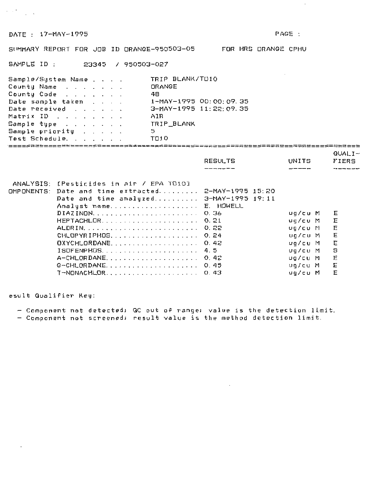DATE : 17-MAY-1995 PAGE :

 $\label{eq:1} \begin{split} \mathcal{L}_{\text{max}}(\mathbf{r}) = \mathcal{L}_{\text{max}}(\mathbf{r}) \end{split}$ 

 $\sim 10^{-1}$ 

SUMMARY REPORT FOR JOB ID ORANGE-950503-05 FOR HRS ORANGE CPHU

SAMPLE ID : 23345 / 950503-027

| Sample/System Name                     | TRIP BLANK/TU10          |
|----------------------------------------|--------------------------|
| County Name                            | ORANGE                   |
| County Code                            | 48                       |
| Date sample taken                      | 1-MAY-1995 00:00:09.35   |
| Date received                          | $3-MAY-1995$ 11:22:09.35 |
| Matrix ID                              | AIR                      |
| Sample type                            | TRIP BLANK               |
| Sample priority                        | 5                        |
| Test Schedule.                         | TO10                     |
| 三三三三三五四三二三三五三三三二三三五五三二三三三三五六五三二二二三二二二三 |                          |
|                                        | $QUALI -$                |
|                                        |                          |

|                |             | ⊌∪ALI≃ |
|----------------|-------------|--------|
| <b>RESULTS</b> | UNITS       | FIERS  |
| ________       | $- - - - -$ |        |
|                |             |        |

| ANALYSIS: [Pesticides in air / EPA T010]            |         |     |
|-----------------------------------------------------|---------|-----|
| OMPONENTS: Date and time extracted 2-MAY-1995 15:20 |         |     |
| Date and time analyzed 3-MAY-1995 19:11             |         |     |
| Analyst name E. HOWELL                              |         |     |
| DIAZINON 0.36                                       | ug/cu M | E   |
|                                                     | υα/ευ Μ | E   |
| ALDRIN 0.22                                         | ug/cu M | E   |
| CHLOPYRIPHOS 0.24                                   | ug/cu M | E   |
| $DXYCHLORDANE$ ,  0.42                              | ug/cu M | E   |
| $ISOFENPHOS.$ 4.5                                   | ∪g⁄cu M | - 5 |
|                                                     | ua/cu M | 三   |
|                                                     | va/cu M | Ε   |
| T-NONACHLOR 0.43                                    | ua/cu M | E   |

esult Qualifier Key:

 $\ddot{\phantom{a}}$ 

Component not detected; QC out of range; value is the detection limit.

 $\sim 10^{-1}$ 

Component not screened; result value is the method detection limit.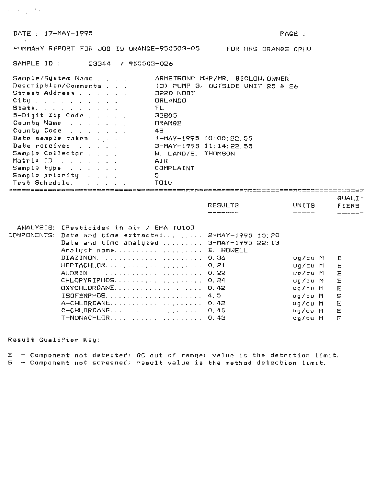DATE: 17-MAY-1995

 $QUAL.I -$ 

PUMMARY REPORT FOR JOB ID ORANGE-950503-05 FOR HRS ORANGE CPHU

SAMPLE ID: 23344 / 950503-026

| Sample/System Name                                 | ARMSTRONG MHP/MR. BIGLOW, OWNER  |
|----------------------------------------------------|----------------------------------|
| Description/Comments                               | (3) PUMP 3, OUTSIDE UNIT 25 & 26 |
| Street Address                                     | 3220 NOBT                        |
| City $x_1, x_2, x_3, x_4, x_5, x_6, x_7, x_8, x_9$ | ORLANDO                          |
| State,                                             | FL.                              |
| $5-Digit$ Zip Code                                 | 32605                            |
| County Name                                        | ORANGE                           |
| County Code                                        | 48.                              |
| Date sample taken                                  | 1-MAY-1995 10:00:22.55           |
| Date received                                      | 3-MAY-1995 11:14:22.55           |
| Sample Collector                                   | W. LAND/S. THOMSON               |
| Matrix ID                                          | AIR                              |
| Sample type                                        | COMPLAINT                        |
| Sample priority                                    | 5.                               |
| Test Schedule.                                     | TO10                             |

|                                                              | RESULTS | UNITS     | FIERS |
|--------------------------------------------------------------|---------|-----------|-------|
|                                                              |         |           |       |
|                                                              |         |           |       |
| ANALYSIS: [Pesticides in air / EPA TO10]                     |         |           |       |
| COMPONENTS: Date and time extracted 2-MAY-1995 15:20         |         |           |       |
| Date and time analyzed 3-MAY-1995 22:13                      |         |           |       |
| Analyst name E. HOWELL                                       |         |           |       |
|                                                              |         | ug/cu M   | E     |
|                                                              |         | ug/cu M   | E     |
|                                                              |         | ug/cu M   | 三日    |
| CHLOPYRIPHOS 0.24                                            |         | ug/cu M   | Ε     |
| $OXYCHLORDANE, \ldots, \ldots, \ldots, \ldots, \ldots, 0.42$ |         | ug/cu M   | Е     |
| $ISOFENPHOS.$ 4.5                                            |         | va⁄cu M   | S     |
|                                                              |         | ua/cu M   | E     |
|                                                              |         | ug/cu M E |       |
| T-NONACHLOR 0.43                                             |         | ug/cu M   | F     |

Result Qualifier Key:

 $E$  - Component not detected; QC out of range; value is the detection limit.

5 - Component not screened; result value is the method detection limit.

 $\mathcal{L}_{\text{max}} = \frac{1}{2} \mathcal{L}_{\text{max}}$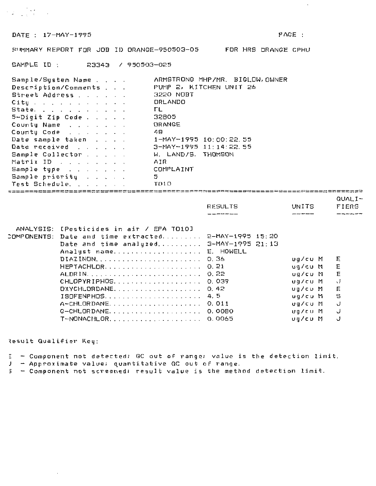DATE: 17-MAY-1995

42 (台湾)

 $\cdot$ 

EUMMARY REPORT FOR JOB ID ORANGE-950503-05 FOR HRS DRANGE CPHU

SAMPLE ID: 23343 / 950503-025

| Sample/System Name   | ARMSTRONG MHP/MR. BIGLOW, OWNER |
|----------------------|---------------------------------|
| Description/Comments | PUMP 2, KITCHEN UNIT 26         |
| Street Address       | 3220 NOBT                       |
| City                 | DRLANDO                         |
| State.               | TL.                             |
| $5-Digit$ Zip Code   | 32805                           |
| County Name          | ORANGE                          |
| County Code          | 48.                             |
| Date sample taken    | 1-MAY-1995 10:00:22.55          |
| Date received        | 3-MAY-1995 11:14:22.55          |
| Sample Collector     | W. LAND/S. THOMSON              |
| Matrix ID            | AIR                             |
| Sample type          | COMPLAINT                       |
| Sample priority      | 5.                              |
| Test Schedule.       | TD10                            |
|                      |                                 |

|                            |              |                |  | <b>有点的第三人称单数的第三人称单数是一个人的第三人称单数是一个人的</b> 是一个人的一个人的一个人的女性的人物,但是一个人的女性的人物,但是一个人的女性的人物,也不是一 |
|----------------------------|--------------|----------------|--|-----------------------------------------------------------------------------------------|
| <b>QUALI</b><br><b>F</b> – |              |                |  |                                                                                         |
| EIEDO                      | <b>UNITE</b> | <b>DECINTO</b> |  |                                                                                         |

|                                                      | RESULTS | UNITS   | FIERS         |
|------------------------------------------------------|---------|---------|---------------|
|                                                      |         |         |               |
| ANALYSIS: [Pesticides in air / EPA TO10]             |         |         |               |
| COMPONENTS: Date and time extracted 2-MAY-1995 15:20 |         |         |               |
| Date and time analyzed 3-MAY-1995 21:13              |         |         |               |
| Analyst name E. HOWELL                               |         |         |               |
| DIAZINON 0.36                                        |         | ug/cu M | – E           |
| HEPTACHLOR 0.21                                      |         | ug⁄cu M | E             |
| ALDRIN 0.22                                          |         | ug/cu M | E             |
| CHLOPYRIPHOS 0.039                                   |         | ug/cu M | $\mathcal{A}$ |
| $DXYCHLORDANE.$ 0.42                                 |         | ua/cu M | 日             |
| $1$ SOFENPHOS 4.5                                    |         | ug/cu M | $\mathbf{S}$  |
| A-CHLORDANE 0.011                                    |         | ua⁄cu M | _∪            |
|                                                      |         | ug⁄cu M | <u>ູ</u>      |
| T-NONACHLOR 0.0065                                   |         | ug/cu M | ل.            |
|                                                      |         |         |               |

Result Qualifier Key:

 $\ddot{\phantom{a}}$ 

 $\epsilon$  - Component not detected; QC out of range; value is the detection limit.

- Approximate value; quantitative QC out of range.  $\mathbf{J}$ 

 $5 -$  Component not screened; result value is the method detection limit.